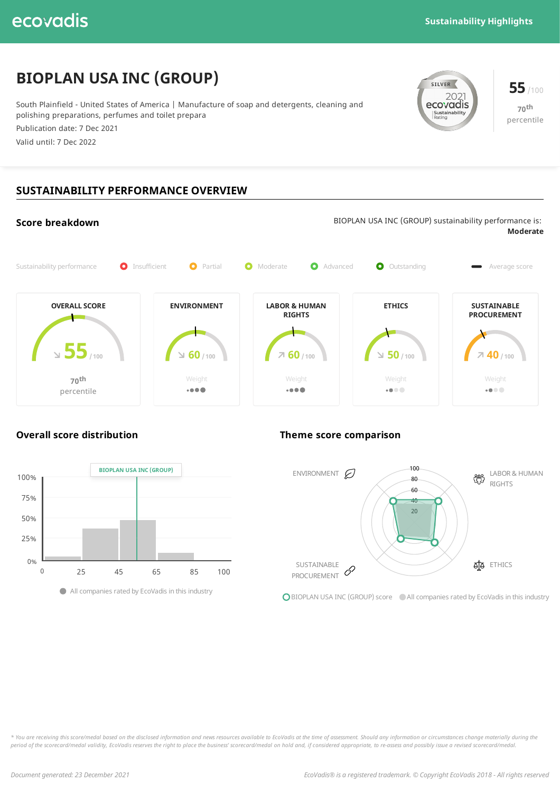# **BIOPLAN USA INC (GROUP)**

South Plainfield - United States of America | Manufacture of soap and detergents, cleaning and polishing preparations, perfumes and toilet prepara

Publication date: 7 Dec 2021

Valid until: 7 Dec 2022



**70 th** percentile

## **SUSTAINABILITY PERFORMANCE OVERVIEW**

#### **Score breakdown** BIOPLAN USA INC (GROUP) sustainability performance is: **Moderate** Sustainability performance  $\bullet$  Insufficient  $\bullet$  Partial  $\bullet$  Moderate  $\bullet$  Advanced  $\bullet$  Outstanding Average score **OVERALL SCORE ENVIRONMENT LABOR & HUMAN ETHICS SUSTAINABLE RIGHTS PROCUREMENT 55/ <sup>100</sup> 40 / <sup>100</sup> 50 / <sup>100</sup> 60 / <sup>100</sup> 60 / <sup>100</sup> 70 th** Weight  $. 000$  $. 000$  $-0.00$  $-0.00$ percentile

### **Overall score distribution Theme score comparison**





**O** BIOPLAN USA INC (GROUP) score All companies rated by EcoVadis in this industry

\* You are receiving this score/medal based on the disclosed information and news resources available to EcoVadis at the time of assessment. Should any information or circumstances change materially during the period of the scorecard/medal validity, EcoVadis reserves the right to place the business' scorecard/medal on hold and, if considered appropriate, to re-assess and possibly issue a revised scorecard/medal.